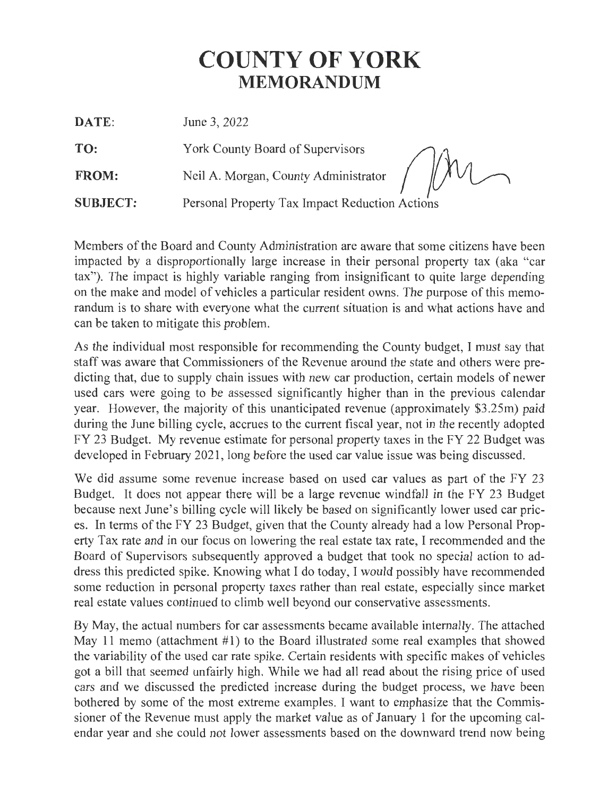# **COUNTY OF YORK MEMORANDUM**

11

**DATE:** June 3, 2022

**TO:** York County Board of Supervisors

FROM: Neil A. Morgan, County Administrator

**SUBJECT:** Personal Property Tax Impact Reduction Actions

Members of the Board and County Administration are aware that some citizens have been impacted by a disproportionally large increase in their personal property tax (aka "car tax"). The impact is highly variable ranging from insignificant to quite large depending on the make and model of vehicles a particular resident owns. The purpose of this memorandum is to share with everyone what the current situation is and what actions have and can be taken to mitigate this problem.

As the individual most responsible for recommending the County budget, I must say that staff was aware that Commissioners of the Revenue around the state and others were predicting that, due to supply chain issues with new car production, certain models of newer used cars were going to be assessed significantly higher than in the previous calendar year. However, the majority of this unanticipated revenue (approximately \$3.25m) paid during the June billing cycle, accrues to the current fiscal year, not in the recently adopted FY 23 Budget. My revenue estimate for personal property taxes in the FY 22 Budget was developed in February 2021, long before the used car value issue was being discussed.

We did assume some revenue increase based on used car values as part of the FY 23 Budget. It does not appear there will be a large revenue windfall in the FY 23 Budget because next June's billing cycle will likely be based on significantly lower used car prices. In terms of the FY 23 Budget, given that the County already had a low Personal Property Tax rate and in our focus on lowering the real estate tax rate, I recommended and the Board of Supervisors subsequently approved a budget that took no special action to address this predicted spike. Knowing what I do today, I would possibly have recommended some reduction in personal property taxes rather than real estate, especially since market real estate values continued to climb well beyond our conservative assessments.

By May, the actual numbers for car assessments became available internally. The attached May 11 memo (attachment #1) to the Board illustrated some real examples that showed the variability of the used car rate spike. Certain residents with specific makes of vehicles got a bill that seemed unfairly high. While we had all read about the rising price of used cars and we discussed the predicted increase during the budget process, we have been bothered by some of the most extreme examples. I want to emphasize that the Commissioner of the Revenue must apply the market value as of January **1** for the upcoming calendar year and she could not lower assessments based on the downward trend now being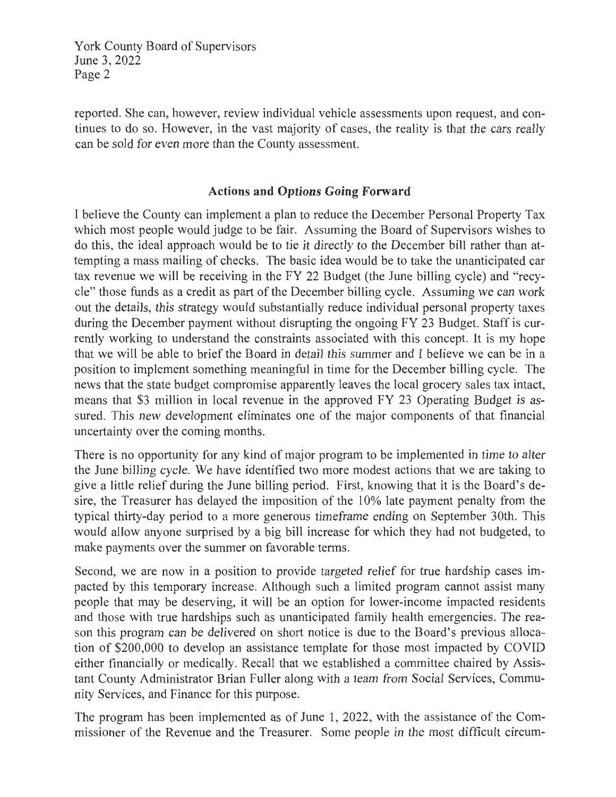York County Board of Supervisors June 3, 2022 Page 2

reported. She can, however, review individual vehicle assessments upon request, and continues to do so. However, in the vast majority of cases, the reality is that the cars really can be sold for even more than the County assessment.

# **Actions and Options Going Forward**

I believe the County can implement a plan to reduce the December Personal Property Tax which most people would judge to be fair. Assuming the Board of Supervisors wishes to do this, the ideal approach would be to tie it directly to the December bill rather than attempting a mass mailing of checks. The basic idea would be to take the unanticipated car tax revenue we will be receiving in the FY 22 Budget (the June billing cycle) and "recycle" those funds as a credit as part of the December billing cycle. Assuming we can work out the details, this strategy would substantially reduce individual personal property taxes during the December payment without disrupting the ongoing FY 23 Budget. Staff is currently working to understand the constraints associated with this concept. It is my hope that we will be able to brief the Board in detail this summer and I believe we can be in a position to implement something meaningful in time for the December billing cycle. The news that the state budget compromise apparently leaves the local grocery sales tax intact, means that \$3 million in local revenue in the approved FY 23 Operating Budget is assured. This new development eliminates one of the major components of that financial uncertainty over the coming months.

There is no opportunity for any kind of major program to be implemented in time to alter the June billing cycle. We have identified two more modest actions that we are taking to give a little relief during the June billing period. First, knowing that it is the Board's desire, the Treasurer has delayed the imposition of the 10% late payment penalty from the typical thirty-day period to a more generous timeframe ending on September 30th. This would allow anyone surprised by a big bill increase for which they had not budgeted, to make payments over the summer on favorable terms.

Second, we are now in a position to provide targeted relief for true hardship cases impacted by this temporary increase. Although such a limited program cannot assist many people that may be deserving, it will be an option for lower-income impacted residents and those with true hardships such as unanticipated family health emergencies. The reason this program can be delivered on short notice is due to the Board's previous allocation of \$200,000 to develop an assistance template for those most impacted by COVID either financially or medically. Recall that we established a committee chaired by Assistant County Administrator Brian Fuller along with a team from Social Services, Community Services, and Finance for this purpose.

The program has been implemented as of June 1, 2022, with the assistance of the Commissioner of the Revenue and the Treasurer. Some people in the most difficult circum-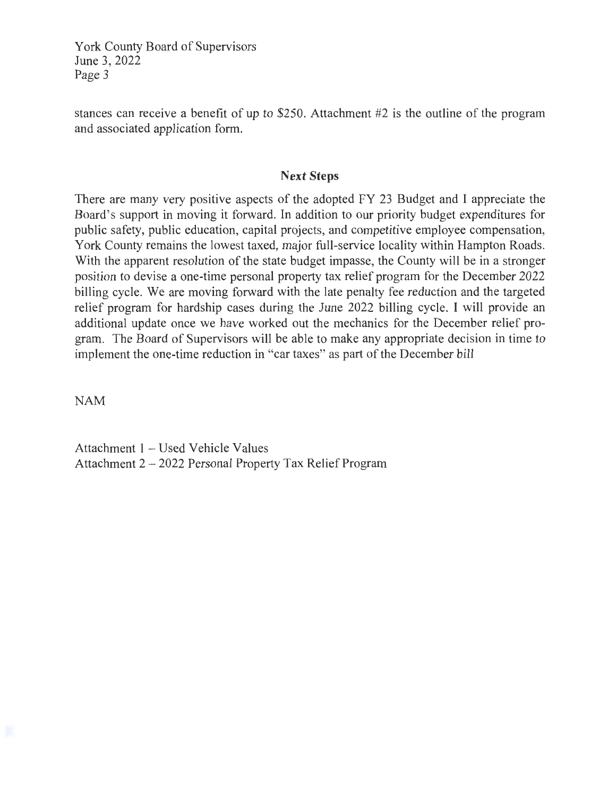York County Board of Supervisors June 3, 2022 Page 3

stances can receive a benefit of up to \$250. Attachment #2 is the outline of the program and associated application form.

# **Next Steps**

There are many very positive aspects of the adopted FY 23 Budget and I appreciate the Board's support in moving it forward. In addition to our priority budget expenditures for public safety, public education, capital projects, and competitive employee compensation, York County remains the lowest taxed, major full-service locality within Hampton Roads. With the apparent resolution of the state budget impasse, the County will be in a stronger position to devise a one-time personal property tax relief program for the December 2022 billing cycle. We are moving forward with the late penalty fee reduction and the targeted relief program for hardship cases during the June 2022 billing cycle. I will provide an additional update once we have worked out the mechanics for the December relief program. The Board of Supervisors will be able to make any appropriate decision in time to implement the one-time reduction in "car taxes" as part of the December bill

NAM

Attachment 1 - Used Vehicle Values Attachment 2 - 2022 Personal Property Tax Relief Program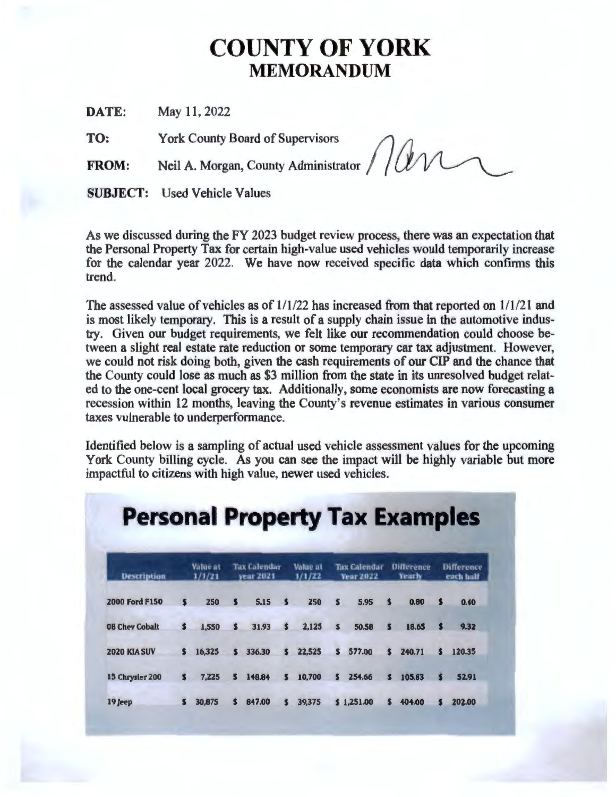# **COUNTY OF YORK MEMORANDUM**

**DATE:** May 11, 2022

**TO:** York County Board of Supervisors *()* 

**FROM:** Neil A. Morgan, County Administrator

**SUBJECT:** Used Vehicle Values

As we discussed during the FY 2023 budget review process, there was an expectation that the Personal Property Tax for certain high-value used vehicles would temporarily increase for the calendar year 2022. We have now received specific data which confirms this trend.

The assessed value of vehicles as of  $1/1/22$  has increased from that reported on  $1/1/21$  and is most likely temporary. This is a result of a supply chain issue in the automotive industry. Given our budget requirements, we felt like our recommendation could choose between a slight real estate rate reduction or some temporary car tax adjustment. However, we could not risk doing both, given the cash requirements of our CIP and the chance that the County could lose as much as \$3 million from the state in its unresolved budget related to the one-cent local grocery tax. Additionally, some economists are now forecasting a recession within 12 months, leaving the County's revenue estimates in various consumer taxes vulnerable to underperformance.

Identified below is a sampling of actual used vehicle assessment values for the upcoming York County billing cycle. As you can see the impact will be highly variable but more impactful to citizens with high value, newer used vehicles.

| <b>Description</b>    |    | <b>Value at</b><br>1/1/21 |    | <b>Tax Calendar</b><br>vear 2021 | Value at<br>1/1/22 | <b>Tax Calendar</b><br><b>Year 2022</b> |    |            | <b>Difference</b><br><b>Yearly</b> |        | <b>Difference</b><br>each half |        |
|-----------------------|----|---------------------------|----|----------------------------------|--------------------|-----------------------------------------|----|------------|------------------------------------|--------|--------------------------------|--------|
| <b>2000 Ford F150</b> | s  | 250                       | \$ | 5.15                             | з                  | 250                                     | \$ | 5.95       | ß.                                 | 0.80   | s                              | 0.40   |
| <b>08 Chev Cobalt</b> | s. | 1,550                     | s  | 31.93                            | S                  | 2.125                                   | s. | 50.58      | s                                  | 18.65  | S                              | 9.32   |
| <b>2020 KIA SUV</b>   | s  | 16,325                    | S. | 336.30                           | S.                 | 22.525                                  | S. | 577.00     | S.                                 | 240.71 | S                              | 120.35 |
| 15 Chrysler 200       | s  | 7.225                     | в  | 148.84                           | 5                  | 10,700                                  | s  | 254.66     | Б                                  | 105.83 | S                              | 52.91  |
| 19 Jeep               | s  | 30.875                    |    | 847.00                           | s                  | 39,375                                  |    | \$1.251.00 |                                    | 404.00 |                                | 202.00 |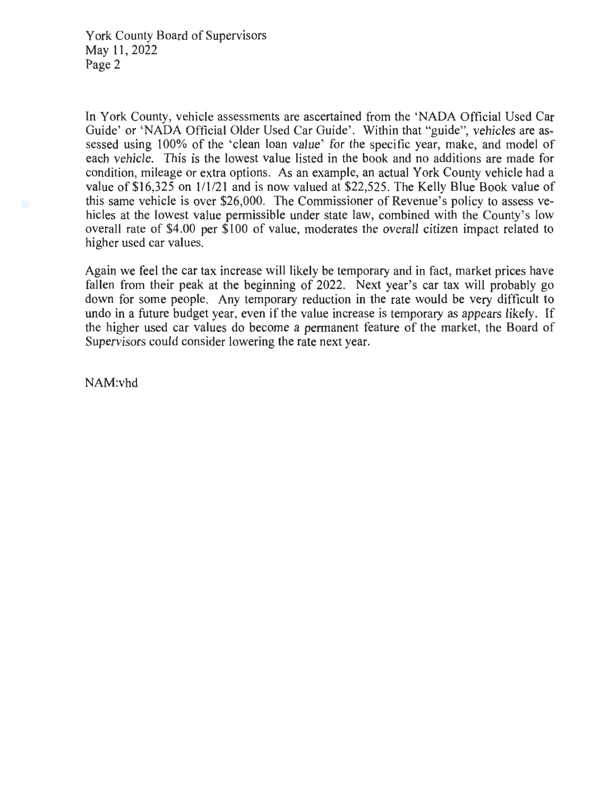In York County, vehicle assessments are ascertained from the 'NADA Official Used Car Guide' or 'NADA Official Older Used Car Guide'. Within that "guide", vehicles are assessed using 100% of the 'clean loan value' for the specific year, make, and model of each vehicle. This is the lowest value listed in the book and no additions are made for condition, mileage or extra options. As an example, an actual York County vehicle had a value of \$16,325 on 1/1/21 and is now valued at \$22,525. The Kelly Blue Book value of this same vehicle is over \$26,000. The Commissioner of Revenue's policy to assess vehicles at the lowest value permissible under state law, combined with the County's low overall rate of \$4.00 per \$100 of value, moderates the overall citizen impact related to higher used car values.

Again we feel the car tax increase will likely be temporary and in fact, market prices have fallen from their peak at the beginning of 2022. Next year's car tax will probably go down for some people. Any temporary reduction in the rate would be very difficult to undo in a future budget year, even if the value increase is temporary as appears likely. If the higher used car values do become a permanent feature of the market, the Board of Supervisors could consider lowering the rate next year.

NAM:vhd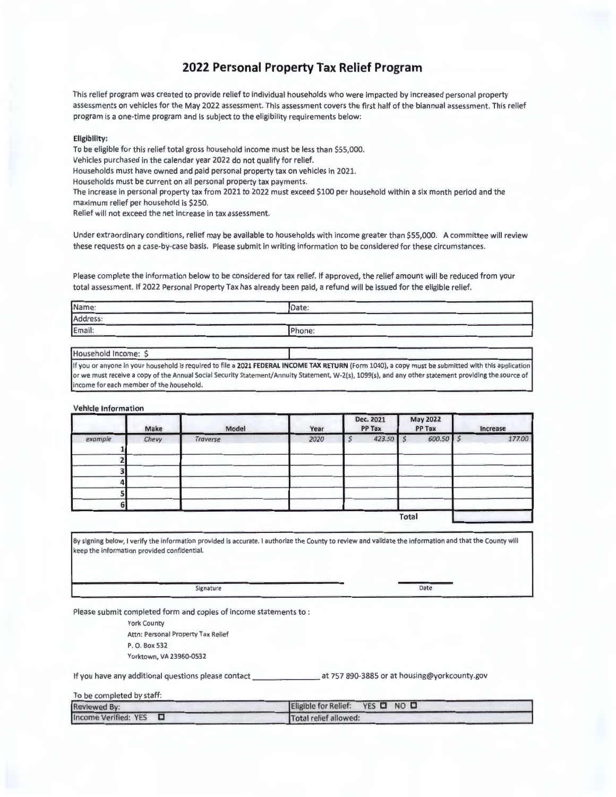# **2022 Personal Property Tax Relief Program**

This relief program was created to provide relief to individual households who were impacted by increased personal property assessments on vehicles for the May 2022 assessment. This assessment covers the first half of the biannual assessment. This relief program is a one-time program and is subject to the eligibility requirements below:

#### **Eligibility:**

To be eligible for this relief total gross household income must be less than \$55,000. Vehicles purchased in the calendar year 2022 do not qualify for relief. Households must have owned and paid personal property tax on vehicles in 2021. Households must be current on all personal property tax payments. The increase in personal property tax from 2021 to 2022 must exceed \$100 per household within a six month period and the maximum relief per household is \$250. Relief will not exceed the net increase in tax assessment.

Under extraordinary conditions, relief may be available to households with income greater than \$55,000. A committee will review these requests on a case-by-case basis. Please submit in writing information to be considered for these circumstances.

Please complete the information below to be considered for tax relief. If approved, the relief amount will be reduced from your total assessment. If 2022 Personal Property Tax has already been paid, a refund will be issued for the eligible relief.

| Name:    | Date:  |  |
|----------|--------|--|
| Address: |        |  |
| Email:   | Phone: |  |

Household Income: \$ I If you or anyone in your household is required to file a **2021 FEDERAL INCOME TAX RETURN** (Form 1040), a copy must be submitted with this application or we must receive a copy of the Annual Social Security Statement/Annuity Statement, W-2(s), 1099(s), and any other statement providing the source of income for each member of the household.

#### **Vehicle Information**

|         | Make  | Model    | Year | Dec. 2021<br>PP Tax |       | <b>May 2022</b><br>PP Tax | Increase |
|---------|-------|----------|------|---------------------|-------|---------------------------|----------|
| example | Chevy | Traverse | 2020 | 423.50              |       | $600.50$ \$               | 177.00   |
|         |       |          |      |                     |       |                           |          |
| 4       |       |          |      |                     |       |                           |          |
| 61      |       |          |      |                     |       |                           |          |
|         |       |          |      |                     | Total |                           |          |

By signing below, I verify the information provided is accurate. I authorize the County to review and validate the information and that the County will keep the information provided confidential.

Signature Date

Please submit completed form and copies of income statements to :

York County Attn: Personal Property Tax Relief P. O. Box 532

Yorktown, VA 23960-0532

If you have any additional questions please contact \_\_\_\_\_\_\_\_\_\_\_\_\_\_\_\_\_\_\_\_\_ at 757 890-3885 or at housing@yorkcounty.gov

| To be completed by staff: |                                 |
|---------------------------|---------------------------------|
| <b>Reviewed By:</b>       | Eligible for Relief: YES Q NO Q |
| Income Verified: $YES$    | Total relief allowed:           |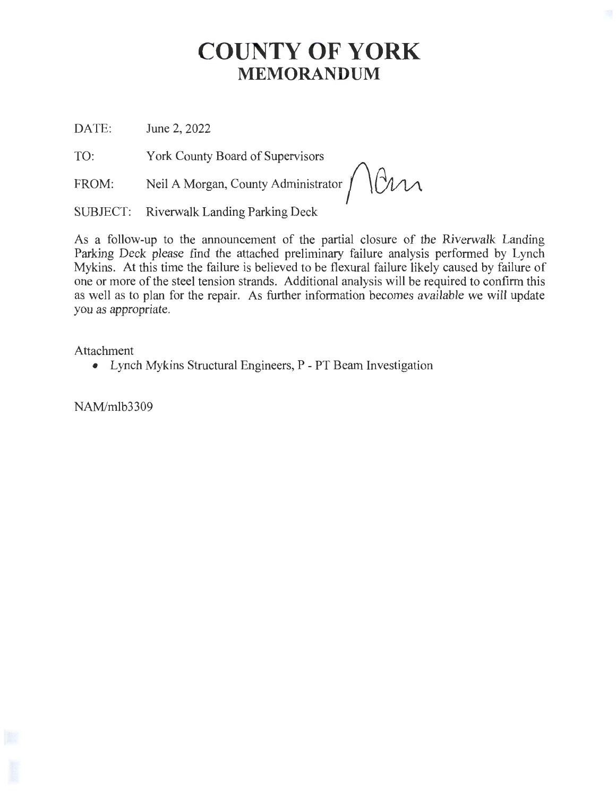# **COUNTY OF YORK MEMORANDUM**

DATE: June 2, 2022

TO: York County Board of Supervisors

**FROM:**  Neil A Morgan, County Administrator  $\int \sqrt{d\mu}$ 

SUBJECT: Riverwalk Landing Parking Deck

As a follow-up to the announcement of the partial closure of the Riverwalk Landing Parking Deck please find the attached preliminary failure analysis performed by Lynch Mykins. At this time the failure is believed to be flexural failure likely caused by failure of one or more of the steel tension strands. Additional analysis will be required to confirm this as well as to plan for the repair. As further information becomes available we will update you as appropriate.

Attachment

• Lynch Mykins Structural Engineers, P - PT Beam Investigation

NAM/mlb3309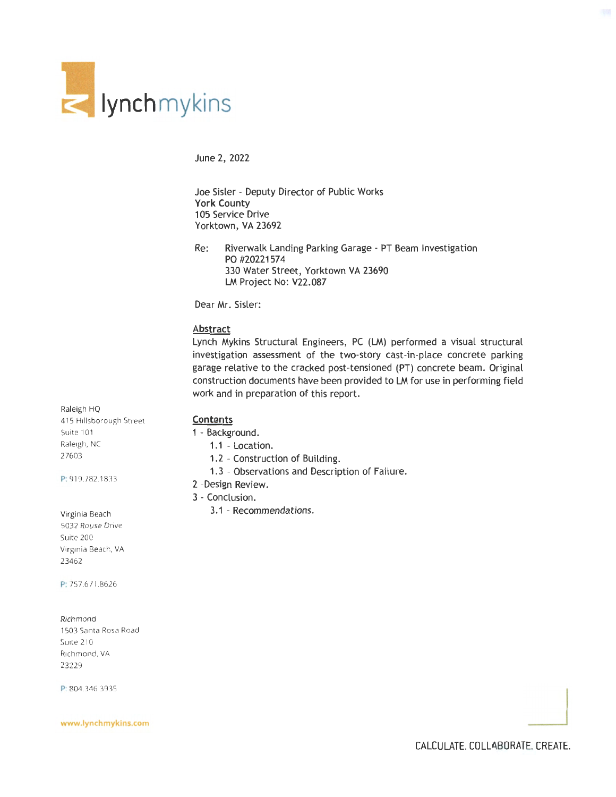

June 2, 2022

Joe Sisler - Deputy Director of Public Works **York County**  105 Service Drive Yorktown, VA 23692

Re: Riverwalk Landing Parking Garage - PT Beam Investigation PO #20221574 330 Water Street, Yorktown VA 23690 LM Project No: V22.087

Dear Mr. Sisler:

## **Abstract**

Lynch Mykins Structural Engineers, PC (LM) performed a visual structural investigation assessment of the two-story cast-in-place concrete parking garage relative to the cracked post-tensioned (PT) concrete beam. Original construction documents have been provided to LM for use in performing field work and in preparation of this report.

#### Raleigh HQ

415 Hillsborough Street Suite 101 Raleigh, NC 27603

P: 919.782.1833

## Virginia Beach

5032 Rouse Drive Suite 200 Virginia Beach, VA 23462

P: 757.671.8626

#### Richmond

1503 Santa Rosa Road Suite 210 Richmond, VA 23229

P: 804.346.3935

P; i304.*3*46.*3935*<br>www.lynchmykins.com

## **Contents**

- 1 Background.
	- 1.1 Location.
	- 1.2 Construction of Building.
	- 1.3 Observations and Description of Failure.

## 2 -Design Review.

- 3 Conclusion.
	- 3.1 Recommendations.

CALCULATE. COLLABORATE. CREATE.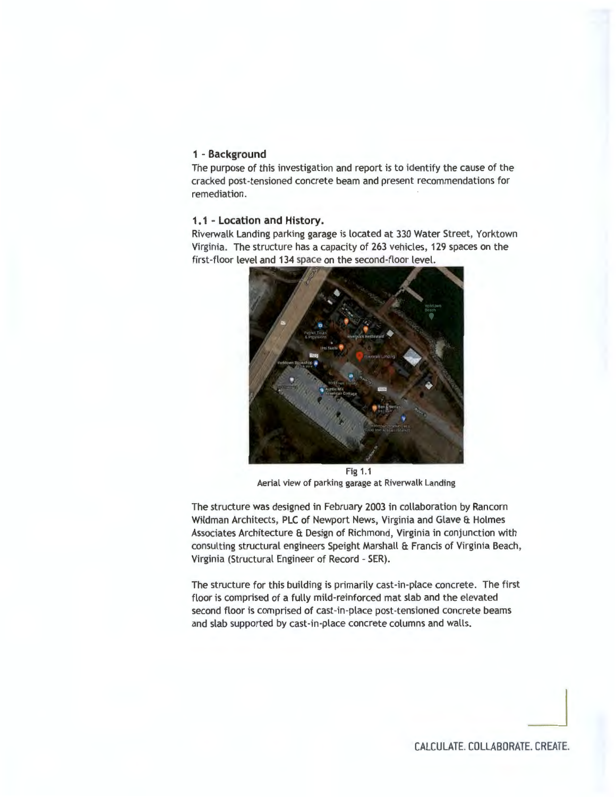# **1** - **Background**

The purpose of this investigation and report is to identify the cause of the cracked post-tensioned concrete beam and present recommendations for remediation.

### **1 . 1 - Location and History.**

Riverwalk Landing parking garage is located at 330 Water Street, Yorktown Virginia. The structure has a capacity of 263 vehicles, 129 spaces on the first-floor level and 134 space on the second-floor level.



Fig 1.1 Aerial view of parking garage at Riverwalk Landing

The structure was designed in February 2003 in collaboration by Rancorn Wildman Architects, PLC of Newport News, Virginia and Glave & Holmes Associates Architecture & Design of Richmond, Virginia in conjunction with consulting structural engineers Speight Marshall & Francis of Virginia Beach, Virginia (Structural Engineer of Record - SER).

The structure for this building is primarily cast-in-place concrete. The first floor is comprised of a fully mild-reinforced mat slab and the elevated second floor is comprised of cast-in-place post-tensioned concrete beams and slab supported by cast-in-place concrete columns and walls.

CALCULATE. COLLABORATE. CREATE.

 $\overline{\phantom{a}}$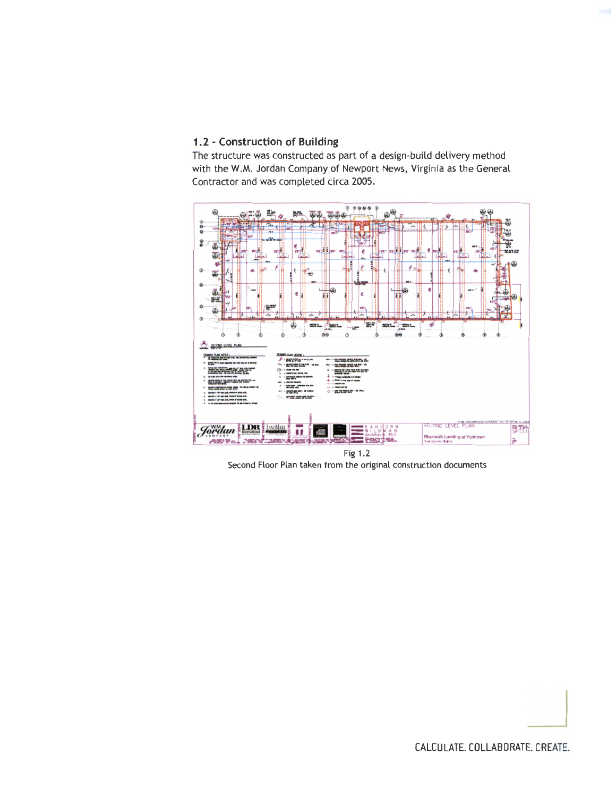# **1. 2 - Construction of Building**

The structure was constructed as part of a design-build delivery method with the W.M. Jordan Company of Newport News, Virginia as the General Contractor and was completed circa 2005.



Second Floor Plan taken from the original construction documents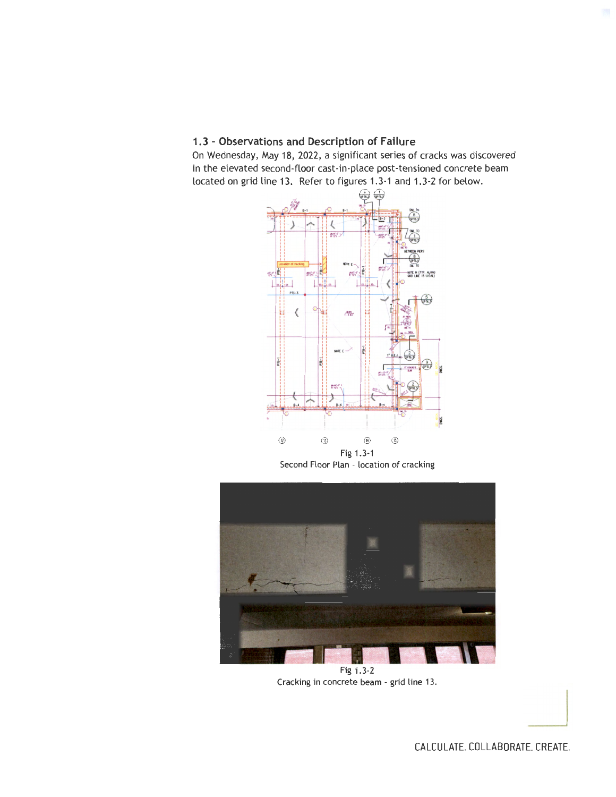# **1.3 - Observations and Description of Failure**

On Wednesday, May 18, 2022, a significant series of cracks was discovered in the elevated second-floor cast-in-place post-tensioned concrete beam located on grid line 13. Refer to figures 1.3-1 and 1.3-2 for below.



Second Floor Plan - location of cracking



Cracking in concrete beam - grid line 13.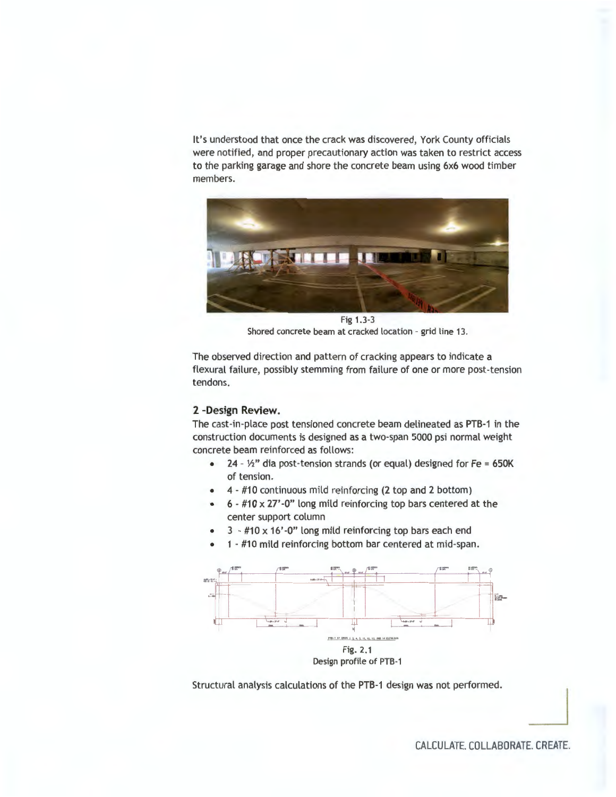It's understood that once the crack was discovered, York County officials were notified, and proper precautionary action was taken to restrict access to the parking garage and shore the concrete beam using 6x6 wood timber members.



Fig 1.3-3 Shored concrete beam at cracked location - grid line 13.

The observed direction and pattern of cracking appears to indicate a flexural failure, possibly stemming from failure of one or more post-tension tendons.

# **2 -Design Review.**

The cast-in-place post tensioned concrete beam delineated as PTB-1 in the construction documents is designed as a two-span 5000 psi normal weight concrete beam reinforced as follows:

- $24 1/2$ " dia post-tension strands (or equal) designed for Fe = 650K of tension.
- 4 #10 continuous mild reinforcing (2 top and 2 bottom)
- 6 #10 x 27' -0" long mild reinforcing top bars centered at the center support column
- $3 #10 \times 16'$ -0" long mild reinforcing top bars each end
- 1 #10 mild reinforcing bottom bar centered at mid-span .



Structural analysis calculations of the PTB-1 design was not performed.

CALCULATE. COLLABORATE. CREATE.